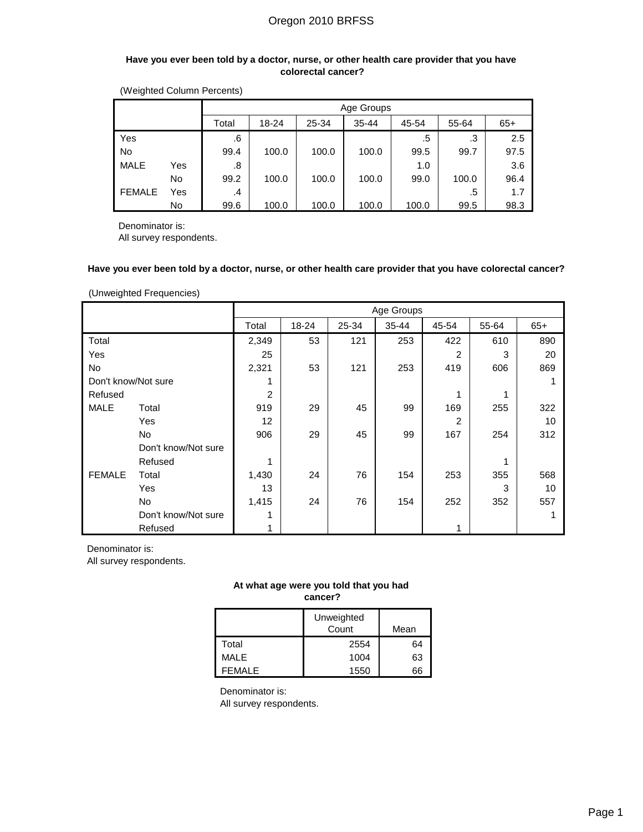#### **Have you ever been told by a doctor, nurse, or other health care provider that you have colorectal cancer?**

| (Weighted Column Percents) |  |
|----------------------------|--|
|----------------------------|--|

|               |                                                                 |      |       |       | Age Groups |       |       |      |  |
|---------------|-----------------------------------------------------------------|------|-------|-------|------------|-------|-------|------|--|
|               | $35 - 44$<br>Total<br>18-24<br>25-34<br>45-54<br>55-64<br>$65+$ |      |       |       |            |       |       |      |  |
| Yes           |                                                                 | .6   |       |       |            | .5    | .3    | 2.5  |  |
| <b>No</b>     |                                                                 | 99.4 | 100.0 | 100.0 | 100.0      | 99.5  | 99.7  | 97.5 |  |
| <b>MALE</b>   | Yes                                                             | .8   |       |       |            | 1.0   |       | 3.6  |  |
|               | No                                                              | 99.2 | 100.0 | 100.0 | 100.0      | 99.0  | 100.0 | 96.4 |  |
| <b>FEMALE</b> | Yes                                                             | .4   |       |       |            |       | .5    | 1.7  |  |
|               | No                                                              | 99.6 | 100.0 | 100.0 | 100.0      | 100.0 | 99.5  | 98.3 |  |

Denominator is:

All survey respondents.

#### **Have you ever been told by a doctor, nurse, or other health care provider that you have colorectal cancer?**

(Unweighted Frequencies)

|                     |                     |       |       |       | Age Groups |       |       |       |
|---------------------|---------------------|-------|-------|-------|------------|-------|-------|-------|
|                     |                     | Total | 18-24 | 25-34 | $35 - 44$  | 45-54 | 55-64 | $65+$ |
| Total               |                     | 2,349 | 53    | 121   | 253        | 422   | 610   | 890   |
| Yes                 |                     | 25    |       |       |            | 2     | 3     | 20    |
| No                  |                     | 2,321 | 53    | 121   | 253        | 419   | 606   | 869   |
| Don't know/Not sure |                     | 1     |       |       |            |       |       |       |
| Refused             |                     | 2     |       |       |            | 1     | 1     |       |
| <b>MALE</b>         | Total               | 919   | 29    | 45    | 99         | 169   | 255   | 322   |
|                     | Yes                 | 12    |       |       |            | 2     |       | 10    |
|                     | <b>No</b>           | 906   | 29    | 45    | 99         | 167   | 254   | 312   |
|                     | Don't know/Not sure |       |       |       |            |       |       |       |
|                     | Refused             | 1     |       |       |            |       | 1     |       |
| <b>FEMALE</b>       | Total               | 1,430 | 24    | 76    | 154        | 253   | 355   | 568   |
|                     | Yes                 | 13    |       |       |            |       | 3     | 10    |
|                     | <b>No</b>           | 1,415 | 24    | 76    | 154        | 252   | 352   | 557   |
|                     | Don't know/Not sure | 1     |       |       |            |       |       |       |
|                     | Refused             |       |       |       |            |       |       |       |

Denominator is:

All survey respondents.

## **At what age were you told that you had cancer?**

|         | Unweighted<br>Count | Mean |
|---------|---------------------|------|
| Total   | 2554                | 64   |
| MALE    | 1004                | 63   |
| FFMAI F | 1550                | 66   |

Denominator is: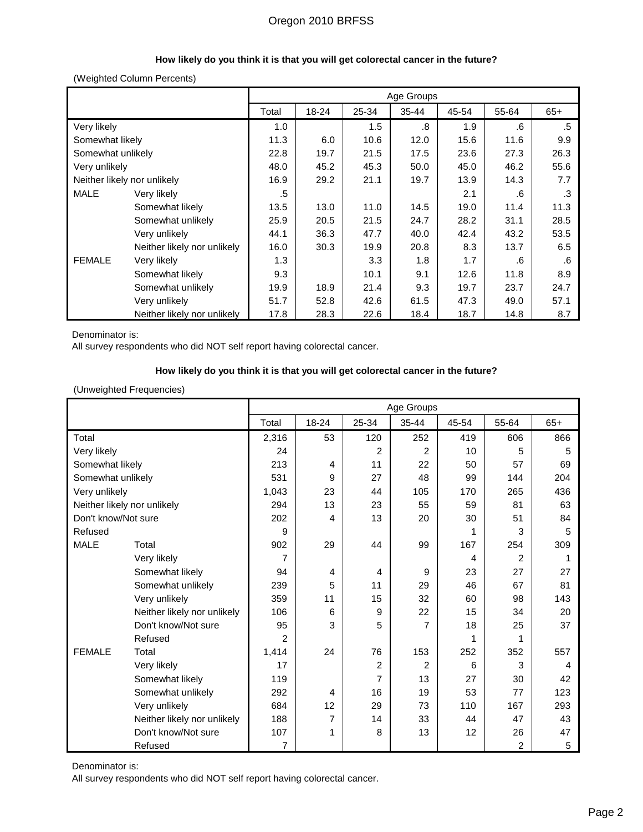## **How likely do you think it is that you will get colorectal cancer in the future?**

### (Weighted Column Percents)

|                             |                             |       |       |       | Age Groups |       |       |       |
|-----------------------------|-----------------------------|-------|-------|-------|------------|-------|-------|-------|
|                             |                             | Total | 18-24 | 25-34 | 35-44      | 45-54 | 55-64 | $65+$ |
| Very likely                 |                             | 1.0   |       | 1.5   | .8         | 1.9   | .6    | .5    |
| Somewhat likely             |                             | 11.3  | 6.0   | 10.6  | 12.0       | 15.6  | 11.6  | 9.9   |
| Somewhat unlikely           |                             | 22.8  | 19.7  | 21.5  | 17.5       | 23.6  | 27.3  | 26.3  |
| Very unlikely               |                             | 48.0  | 45.2  | 45.3  | 50.0       | 45.0  | 46.2  | 55.6  |
| Neither likely nor unlikely |                             | 16.9  | 29.2  | 21.1  | 19.7       | 13.9  | 14.3  | 7.7   |
| <b>MALE</b>                 | Very likely                 | .5    |       |       |            | 2.1   | .6    | .3    |
|                             | Somewhat likely             | 13.5  | 13.0  | 11.0  | 14.5       | 19.0  | 11.4  | 11.3  |
|                             | Somewhat unlikely           | 25.9  | 20.5  | 21.5  | 24.7       | 28.2  | 31.1  | 28.5  |
|                             | Very unlikely               | 44.1  | 36.3  | 47.7  | 40.0       | 42.4  | 43.2  | 53.5  |
|                             | Neither likely nor unlikely | 16.0  | 30.3  | 19.9  | 20.8       | 8.3   | 13.7  | 6.5   |
| <b>FEMALE</b>               | Very likely                 | 1.3   |       | 3.3   | 1.8        | 1.7   | .6    | .6    |
|                             | Somewhat likely             | 9.3   |       | 10.1  | 9.1        | 12.6  | 11.8  | 8.9   |
|                             | Somewhat unlikely           | 19.9  | 18.9  | 21.4  | 9.3        | 19.7  | 23.7  | 24.7  |
|                             | Very unlikely               | 51.7  | 52.8  | 42.6  | 61.5       | 47.3  | 49.0  | 57.1  |
|                             | Neither likely nor unlikely | 17.8  | 28.3  | 22.6  | 18.4       | 18.7  | 14.8  | 8.7   |

Denominator is:

All survey respondents who did NOT self report having colorectal cancer.

### **How likely do you think it is that you will get colorectal cancer in the future?**

### (Unweighted Frequencies)

|                     |                             |                |                |                | Age Groups     |       |                |       |
|---------------------|-----------------------------|----------------|----------------|----------------|----------------|-------|----------------|-------|
|                     |                             | Total          | 18-24          | 25-34          | 35-44          | 45-54 | 55-64          | $65+$ |
| Total               |                             | 2,316          | 53             | 120            | 252            | 419   | 606            | 866   |
| Very likely         |                             | 24             |                | 2              | $\overline{2}$ | 10    | 5              | 5     |
| Somewhat likely     |                             | 213            | $\overline{4}$ | 11             | 22             | 50    | 57             | 69    |
| Somewhat unlikely   |                             | 531            | 9              | 27             | 48             | 99    | 144            | 204   |
| Very unlikely       |                             | 1.043          | 23             | 44             | 105            | 170   | 265            | 436   |
|                     | Neither likely nor unlikely | 294            | 13             | 23             | 55             | 59    | 81             | 63    |
| Don't know/Not sure |                             | 202            | 4              | 13             | 20             | 30    | 51             | 84    |
| Refused             |                             | 9              |                |                |                | 1     | 3              | 5     |
| <b>MALE</b>         | Total                       | 902            | 29             | 44             | 99             | 167   | 254            | 309   |
|                     | Very likely                 | 7              |                |                |                | 4     | $\overline{2}$ | 1     |
|                     | Somewhat likely             | 94             | 4              | 4              | 9              | 23    | 27             | 27    |
|                     | Somewhat unlikely           | 239            | 5              | 11             | 29             | 46    | 67             | 81    |
|                     | Very unlikely               | 359            | 11             | 15             | 32             | 60    | 98             | 143   |
|                     | Neither likely nor unlikely | 106            | 6              | 9              | 22             | 15    | 34             | 20    |
|                     | Don't know/Not sure         | 95             | 3              | 5              | $\overline{7}$ | 18    | 25             | 37    |
|                     | Refused                     | $\overline{2}$ |                |                |                | 1     | 1              |       |
| <b>FEMALE</b>       | Total                       | 1,414          | 24             | 76             | 153            | 252   | 352            | 557   |
|                     | Very likely                 | 17             |                | $\overline{2}$ | $\overline{2}$ | 6     | 3              | 4     |
|                     | Somewhat likely             | 119            |                | 7              | 13             | 27    | 30             | 42    |
|                     | Somewhat unlikely           | 292            | 4              | 16             | 19             | 53    | 77             | 123   |
|                     | Very unlikely               | 684            | 12             | 29             | 73             | 110   | 167            | 293   |
|                     | Neither likely nor unlikely | 188            | 7              | 14             | 33             | 44    | 47             | 43    |
|                     | Don't know/Not sure         | 107            | 1              | 8              | 13             | 12    | 26             | 47    |
|                     | Refused                     | 7              |                |                |                |       | 2              | 5     |

Denominator is:

All survey respondents who did NOT self report having colorectal cancer.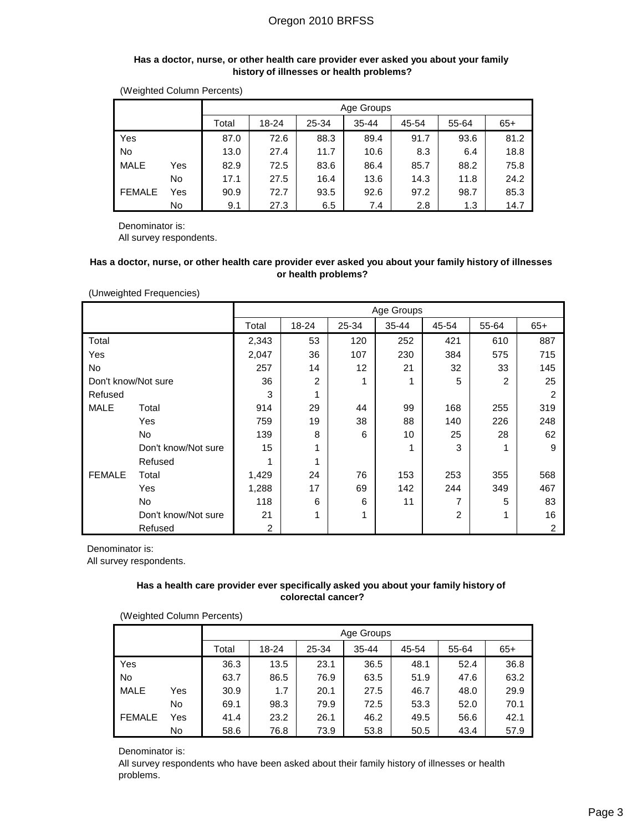#### **Has a doctor, nurse, or other health care provider ever asked you about your family history of illnesses or health problems?**

|               |                                                                 |      | Age Groups |      |      |      |      |      |  |  |  |
|---------------|-----------------------------------------------------------------|------|------------|------|------|------|------|------|--|--|--|
|               | $35 - 44$<br>45-54<br>18-24<br>25-34<br>55-64<br>$65+$<br>Total |      |            |      |      |      |      |      |  |  |  |
| Yes           |                                                                 | 87.0 | 72.6       | 88.3 | 89.4 | 91.7 | 93.6 | 81.2 |  |  |  |
| No            |                                                                 | 13.0 | 27.4       | 11.7 | 10.6 | 8.3  | 6.4  | 18.8 |  |  |  |
| <b>MALE</b>   | Yes                                                             | 82.9 | 72.5       | 83.6 | 86.4 | 85.7 | 88.2 | 75.8 |  |  |  |
|               | No.                                                             | 17.1 | 27.5       | 16.4 | 13.6 | 14.3 | 11.8 | 24.2 |  |  |  |
| <b>FEMALE</b> | Yes                                                             | 90.9 | 72.7       | 93.5 | 92.6 | 97.2 | 98.7 | 85.3 |  |  |  |
|               | No.                                                             | 9.1  | 27.3       | 6.5  | 7.4  | 2.8  | 1.3  | 14.7 |  |  |  |

(Weighted Column Percents)

Denominator is: All survey respondents.

### **Has a doctor, nurse, or other health care provider ever asked you about your family history of illnesses or health problems?**

(Unweighted Frequencies)

|                     |                     |       |                |                   | Age Groups |                |       |       |
|---------------------|---------------------|-------|----------------|-------------------|------------|----------------|-------|-------|
|                     |                     | Total | 18-24          | 25-34             | 35-44      | 45-54          | 55-64 | $65+$ |
| Total               |                     | 2,343 | 53             | 120               | 252        | 421            | 610   | 887   |
| Yes                 |                     | 2,047 | 36             | 107               | 230        | 384            | 575   | 715   |
| No                  |                     | 257   | 14             | $12 \overline{ }$ | 21         | 32             | 33    | 145   |
| Don't know/Not sure |                     | 36    | $\overline{c}$ | 1                 |            | 5              | 2     | 25    |
| Refused             |                     | 3     | 1              |                   |            |                |       | 2     |
| <b>MALE</b>         | Total               | 914   | 29             | 44                | 99         | 168            | 255   | 319   |
|                     | Yes                 | 759   | 19             | 38                | 88         | 140            | 226   | 248   |
|                     | No                  | 139   | 8              | 6                 | 10         | 25             | 28    | 62    |
|                     | Don't know/Not sure | 15    | 1              |                   |            | 3              | 1     | 9     |
|                     | Refused             | 1     | 1              |                   |            |                |       |       |
| <b>FEMALE</b>       | Total               | 1,429 | 24             | 76                | 153        | 253            | 355   | 568   |
|                     | Yes                 | 1,288 | 17             | 69                | 142        | 244            | 349   | 467   |
|                     | No                  | 118   | 6              | 6                 | 11         | 7              | 5     | 83    |
|                     | Don't know/Not sure | 21    | 1              | 1                 |            | $\overline{2}$ | 1     | 16    |
|                     | Refused             | 2     |                |                   |            |                |       | 2     |

Denominator is:

All survey respondents.

### **Has a health care provider ever specifically asked you about your family history of colorectal cancer?**

(Weighted Column Percents)

|               |                                                                 | Age Groups |      |      |      |      |      |      |  |  |  |
|---------------|-----------------------------------------------------------------|------------|------|------|------|------|------|------|--|--|--|
|               | $35 - 44$<br>25-34<br>18-24<br>45-54<br>55-64<br>$65+$<br>Total |            |      |      |      |      |      |      |  |  |  |
| Yes           |                                                                 | 36.3       | 13.5 | 23.1 | 36.5 | 48.1 | 52.4 | 36.8 |  |  |  |
| No            |                                                                 | 63.7       | 86.5 | 76.9 | 63.5 | 51.9 | 47.6 | 63.2 |  |  |  |
| <b>MALE</b>   | Yes                                                             | 30.9       | 1.7  | 20.1 | 27.5 | 46.7 | 48.0 | 29.9 |  |  |  |
|               | No                                                              | 69.1       | 98.3 | 79.9 | 72.5 | 53.3 | 52.0 | 70.1 |  |  |  |
| <b>FEMALE</b> | Yes                                                             | 41.4       | 23.2 | 26.1 | 46.2 | 49.5 | 56.6 | 42.1 |  |  |  |
|               | No                                                              | 58.6       | 76.8 | 73.9 | 53.8 | 50.5 | 43.4 | 57.9 |  |  |  |

Denominator is:

All survey respondents who have been asked about their family history of illnesses or health problems.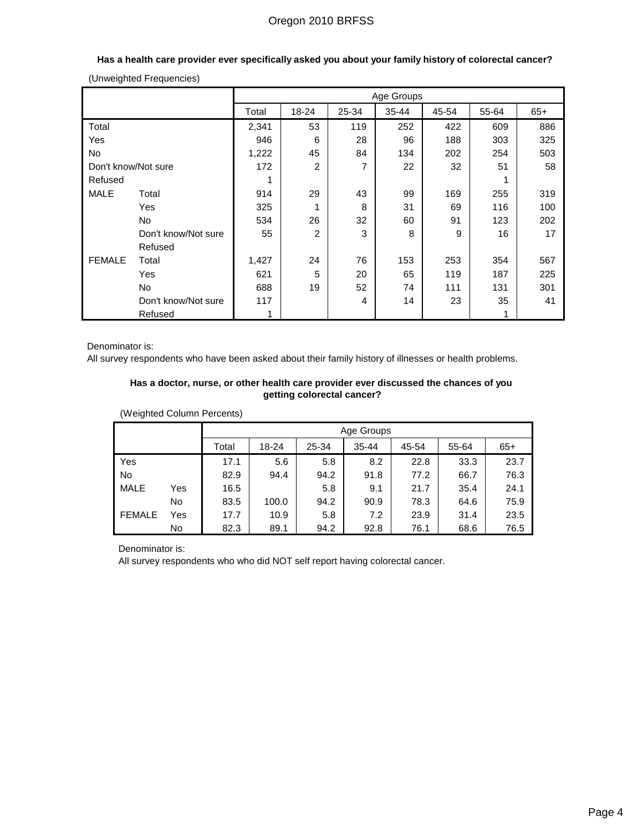|                     |                     |       |       |       | Age Groups |       |       |       |
|---------------------|---------------------|-------|-------|-------|------------|-------|-------|-------|
|                     |                     | Total | 18-24 | 25-34 | 35-44      | 45-54 | 55-64 | $65+$ |
| Total               |                     | 2,341 | 53    | 119   | 252        | 422   | 609   | 886   |
| Yes                 |                     | 946   | 6     | 28    | 96         | 188   | 303   | 325   |
| No                  |                     | 1,222 | 45    | 84    | 134        | 202   | 254   | 503   |
| Don't know/Not sure |                     | 172   | 2     | 7     | 22         | 32    | 51    | 58    |
| Refused             |                     |       |       |       |            |       | 1     |       |
| <b>MALE</b>         | Total               | 914   | 29    | 43    | 99         | 169   | 255   | 319   |
|                     | Yes                 | 325   | 1     | 8     | 31         | 69    | 116   | 100   |
|                     | <b>No</b>           | 534   | 26    | 32    | 60         | 91    | 123   | 202   |
|                     | Don't know/Not sure | 55    | 2     | 3     | 8          | 9     | 16    | 17    |
|                     | Refused             |       |       |       |            |       |       |       |
| <b>FEMALE</b>       | Total               | 1,427 | 24    | 76    | 153        | 253   | 354   | 567   |
|                     | Yes                 | 621   | 5     | 20    | 65         | 119   | 187   | 225   |
|                     | No.                 | 688   | 19    | 52    | 74         | 111   | 131   | 301   |
|                     | Don't know/Not sure | 117   |       | 4     | 14         | 23    | 35    | 41    |
|                     | Refused             |       |       |       |            |       | 1     |       |

## **Has a health care provider ever specifically asked you about your family history of colorectal cancer?**

(Unweighted Frequencies)

Denominator is:

All survey respondents who have been asked about their family history of illnesses or health problems.

### **Has a doctor, nurse, or other health care provider ever discussed the chances of you getting colorectal cancer?**

(Weighted Column Percents)

|               |                                                                 |      | Age Groups |      |      |      |      |      |  |  |
|---------------|-----------------------------------------------------------------|------|------------|------|------|------|------|------|--|--|
|               | 25-34<br>18-24<br>$35 - 44$<br>45-54<br>55-64<br>$65+$<br>Total |      |            |      |      |      |      |      |  |  |
| Yes           |                                                                 | 17.1 | 5.6        | 5.8  | 8.2  | 22.8 | 33.3 | 23.7 |  |  |
| <b>No</b>     |                                                                 | 82.9 | 94.4       | 94.2 | 91.8 | 77.2 | 66.7 | 76.3 |  |  |
| <b>MALE</b>   | Yes                                                             | 16.5 |            | 5.8  | 9.1  | 21.7 | 35.4 | 24.1 |  |  |
|               | No                                                              | 83.5 | 100.0      | 94.2 | 90.9 | 78.3 | 64.6 | 75.9 |  |  |
| <b>FEMALE</b> | Yes                                                             | 17.7 | 10.9       | 5.8  | 7.2  | 23.9 | 31.4 | 23.5 |  |  |
|               | No                                                              | 82.3 | 89.1       | 94.2 | 92.8 | 76.1 | 68.6 | 76.5 |  |  |

Denominator is:

All survey respondents who who did NOT self report having colorectal cancer.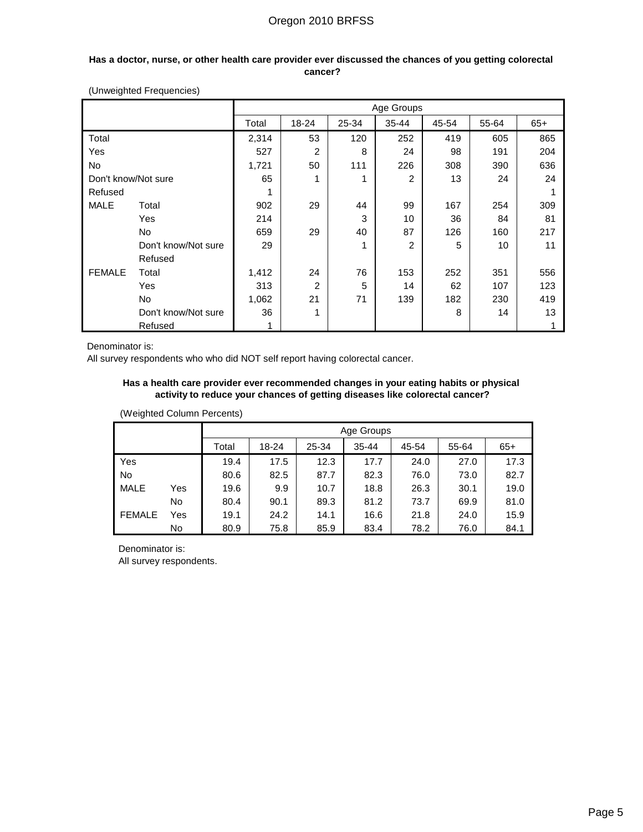### **Has a doctor, nurse, or other health care provider ever discussed the chances of you getting colorectal cancer?**

|                     |                     |       |                |       | Age Groups |       |       |       |
|---------------------|---------------------|-------|----------------|-------|------------|-------|-------|-------|
|                     |                     | Total | 18-24          | 25-34 | $35 - 44$  | 45-54 | 55-64 | $65+$ |
| Total               |                     | 2,314 | 53             | 120   | 252        | 419   | 605   | 865   |
| Yes                 |                     | 527   | 2              | 8     | 24         | 98    | 191   | 204   |
| No                  |                     | 1,721 | 50             | 111   | 226        | 308   | 390   | 636   |
| Don't know/Not sure |                     | 65    | 1              | 1     | 2          | 13    | 24    | 24    |
| Refused             |                     | 1     |                |       |            |       |       |       |
| <b>MALE</b>         | Total               | 902   | 29             | 44    | 99         | 167   | 254   | 309   |
|                     | Yes                 | 214   |                | 3     | 10         | 36    | 84    | 81    |
|                     | No                  | 659   | 29             | 40    | 87         | 126   | 160   | 217   |
|                     | Don't know/Not sure | 29    |                | 1     | 2          | 5     | 10    | 11    |
|                     | Refused             |       |                |       |            |       |       |       |
| <b>FEMALE</b>       | Total               | 1,412 | 24             | 76    | 153        | 252   | 351   | 556   |
|                     | Yes                 | 313   | $\overline{2}$ | 5     | 14         | 62    | 107   | 123   |
|                     | No                  | 1,062 | 21             | 71    | 139        | 182   | 230   | 419   |
|                     | Don't know/Not sure | 36    | 1              |       |            | 8     | 14    | 13    |
|                     | Refused             | 1     |                |       |            |       |       |       |

(Unweighted Frequencies)

Denominator is:

All survey respondents who who did NOT self report having colorectal cancer.

### **Has a health care provider ever recommended changes in your eating habits or physical activity to reduce your chances of getting diseases like colorectal cancer?**

(Weighted Column Percents)

|               |     |       | Age Groups |       |           |       |       |       |
|---------------|-----|-------|------------|-------|-----------|-------|-------|-------|
|               |     | Total | 18-24      | 25-34 | $35 - 44$ | 45-54 | 55-64 | $65+$ |
| Yes           |     | 19.4  | 17.5       | 12.3  | 17.7      | 24.0  | 27.0  | 17.3  |
| No            |     | 80.6  | 82.5       | 87.7  | 82.3      | 76.0  | 73.0  | 82.7  |
| <b>MALE</b>   | Yes | 19.6  | 9.9        | 10.7  | 18.8      | 26.3  | 30.1  | 19.0  |
|               | No. | 80.4  | 90.1       | 89.3  | 81.2      | 73.7  | 69.9  | 81.0  |
| <b>FEMALE</b> | Yes | 19.1  | 24.2       | 14.1  | 16.6      | 21.8  | 24.0  | 15.9  |
|               | No  | 80.9  | 75.8       | 85.9  | 83.4      | 78.2  | 76.0  | 84.1  |

Denominator is: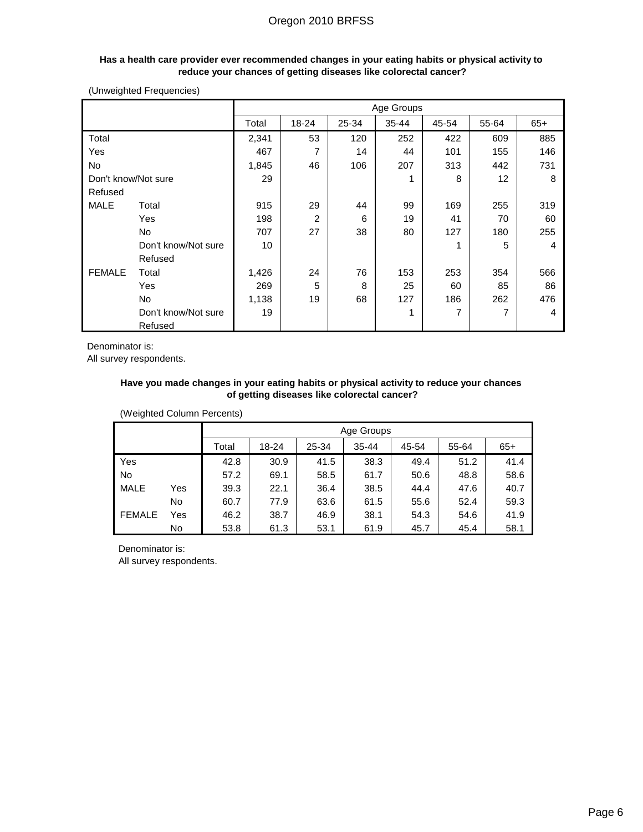#### **Has a health care provider ever recommended changes in your eating habits or physical activity to reduce your chances of getting diseases like colorectal cancer?**

(Unweighted Frequencies)

|                     |                     |       |       |       | Age Groups |       |       |       |
|---------------------|---------------------|-------|-------|-------|------------|-------|-------|-------|
|                     |                     | Total | 18-24 | 25-34 | $35 - 44$  | 45-54 | 55-64 | $65+$ |
| Total               |                     | 2,341 | 53    | 120   | 252        | 422   | 609   | 885   |
| Yes                 |                     | 467   | 7     | 14    | 44         | 101   | 155   | 146   |
| No                  |                     | 1,845 | 46    | 106   | 207        | 313   | 442   | 731   |
| Don't know/Not sure |                     | 29    |       |       |            | 8     | 12    | 8     |
| Refused             |                     |       |       |       |            |       |       |       |
| <b>MALE</b>         | Total               | 915   | 29    | 44    | 99         | 169   | 255   | 319   |
|                     | Yes                 | 198   | 2     | 6     | 19         | 41    | 70    | 60    |
|                     | No                  | 707   | 27    | 38    | 80         | 127   | 180   | 255   |
|                     | Don't know/Not sure | 10    |       |       |            | 1     | 5     | 4     |
|                     | Refused             |       |       |       |            |       |       |       |
| <b>FEMALE</b>       | Total               | 1,426 | 24    | 76    | 153        | 253   | 354   | 566   |
|                     | Yes                 | 269   | 5     | 8     | 25         | 60    | 85    | 86    |
|                     | No                  | 1,138 | 19    | 68    | 127        | 186   | 262   | 476   |
|                     | Don't know/Not sure | 19    |       |       |            | 7     | 7     | 4     |
|                     | Refused             |       |       |       |            |       |       |       |

Denominator is:

All survey respondents.

### **Have you made changes in your eating habits or physical activity to reduce your chances of getting diseases like colorectal cancer?**

(Weighted Column Percents)

|               |     |       | Age Groups |       |           |       |       |       |
|---------------|-----|-------|------------|-------|-----------|-------|-------|-------|
|               |     | Total | 18-24      | 25-34 | $35 - 44$ | 45-54 | 55-64 | $65+$ |
| Yes           |     | 42.8  | 30.9       | 41.5  | 38.3      | 49.4  | 51.2  | 41.4  |
| <b>No</b>     |     | 57.2  | 69.1       | 58.5  | 61.7      | 50.6  | 48.8  | 58.6  |
| <b>MALE</b>   | Yes | 39.3  | 22.1       | 36.4  | 38.5      | 44.4  | 47.6  | 40.7  |
|               | No. | 60.7  | 77.9       | 63.6  | 61.5      | 55.6  | 52.4  | 59.3  |
| <b>FEMALE</b> | Yes | 46.2  | 38.7       | 46.9  | 38.1      | 54.3  | 54.6  | 41.9  |
|               | No  | 53.8  | 61.3       | 53.1  | 61.9      | 45.7  | 45.4  | 58.1  |

Denominator is: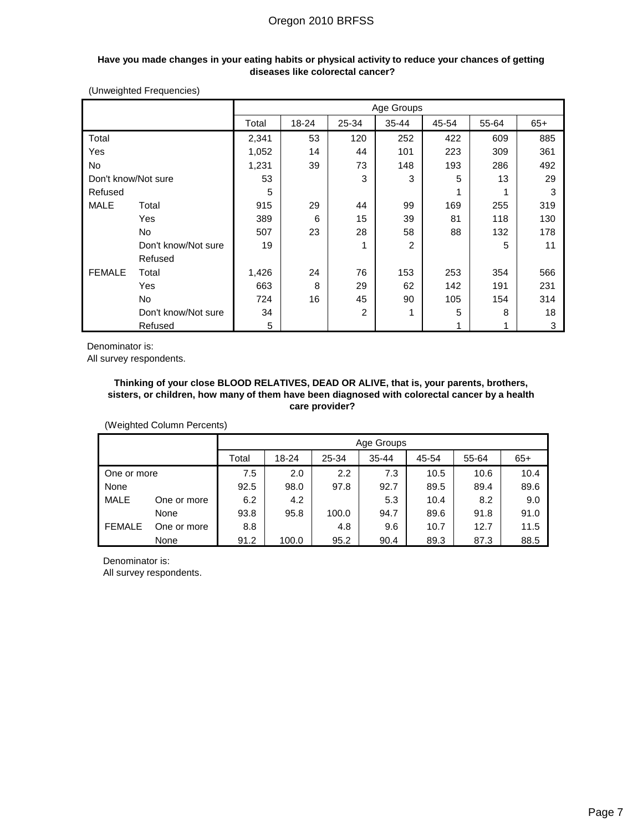#### **Have you made changes in your eating habits or physical activity to reduce your chances of getting diseases like colorectal cancer?**

(Unweighted Frequencies)

|                     |                     |       |       |                | Age Groups |       |       |       |
|---------------------|---------------------|-------|-------|----------------|------------|-------|-------|-------|
|                     |                     | Total | 18-24 | 25-34          | $35 - 44$  | 45-54 | 55-64 | $65+$ |
| Total               |                     | 2,341 | 53    | 120            | 252        | 422   | 609   | 885   |
| Yes                 |                     | 1,052 | 14    | 44             | 101        | 223   | 309   | 361   |
| No                  |                     | 1,231 | 39    | 73             | 148        | 193   | 286   | 492   |
| Don't know/Not sure |                     | 53    |       | 3              | 3          | 5     | 13    | 29    |
| Refused             |                     | 5     |       |                |            | 1     |       | 3     |
| MALE                | Total               | 915   | 29    | 44             | 99         | 169   | 255   | 319   |
|                     | Yes                 | 389   | 6     | 15             | 39         | 81    | 118   | 130   |
|                     | <b>No</b>           | 507   | 23    | 28             | 58         | 88    | 132   | 178   |
|                     | Don't know/Not sure | 19    |       | 1              | 2          |       | 5     | 11    |
|                     | Refused             |       |       |                |            |       |       |       |
| <b>FEMALE</b>       | Total               | 1,426 | 24    | 76             | 153        | 253   | 354   | 566   |
|                     | Yes                 | 663   | 8     | 29             | 62         | 142   | 191   | 231   |
|                     | <b>No</b>           | 724   | 16    | 45             | 90         | 105   | 154   | 314   |
|                     | Don't know/Not sure | 34    |       | $\overline{2}$ |            | 5     | 8     | 18    |
|                     | Refused             | 5     |       |                |            |       |       | 3     |

Denominator is:

All survey respondents.

#### **Thinking of your close BLOOD RELATIVES, DEAD OR ALIVE, that is, your parents, brothers, sisters, or children, how many of them have been diagnosed with colorectal cancer by a health care provider?**

(Weighted Column Percents)

|               |             |       |       |       | Age Groups |       |       |       |
|---------------|-------------|-------|-------|-------|------------|-------|-------|-------|
|               |             | Total | 18-24 | 25-34 | $35 - 44$  | 45-54 | 55-64 | $65+$ |
| One or more   |             | 7.5   | 2.0   | 2.2   | 7.3        | 10.5  | 10.6  | 10.4  |
| None          |             | 92.5  | 98.0  | 97.8  | 92.7       | 89.5  | 89.4  | 89.6  |
| <b>MALE</b>   | One or more | 6.2   | 4.2   |       | 5.3        | 10.4  | 8.2   | 9.0   |
|               | None        | 93.8  | 95.8  | 100.0 | 94.7       | 89.6  | 91.8  | 91.0  |
| <b>FEMALE</b> | One or more | 8.8   |       | 4.8   | 9.6        | 10.7  | 12.7  | 11.5  |
|               | None        | 91.2  | 100.0 | 95.2  | 90.4       | 89.3  | 87.3  | 88.5  |

Denominator is: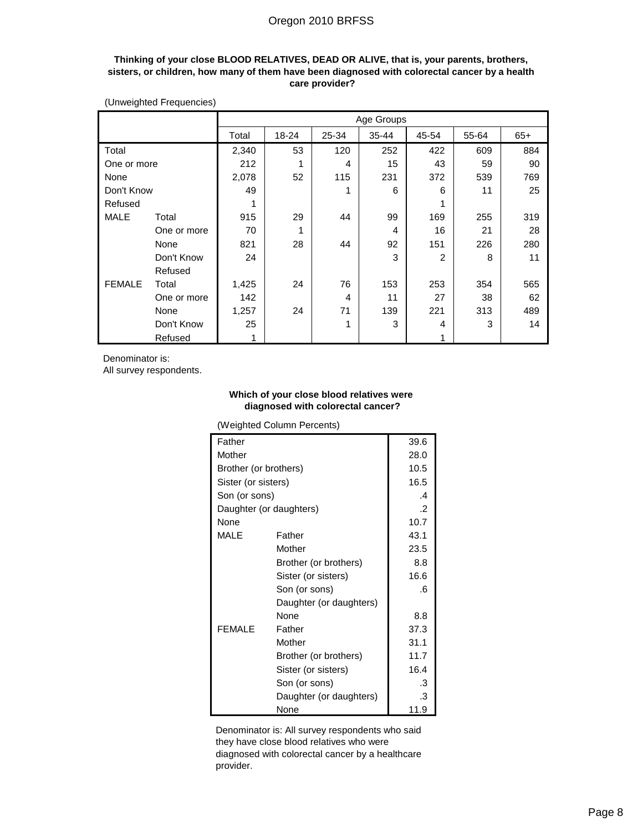### **Thinking of your close BLOOD RELATIVES, DEAD OR ALIVE, that is, your parents, brothers, sisters, or children, how many of them have been diagnosed with colorectal cancer by a health care provider?**

|               |             |       | Age Groups |       |           |                |       |       |
|---------------|-------------|-------|------------|-------|-----------|----------------|-------|-------|
|               |             | Total | 18-24      | 25-34 | $35 - 44$ | 45-54          | 55-64 | $65+$ |
| Total         |             | 2,340 | 53         | 120   | 252       | 422            | 609   | 884   |
| One or more   |             | 212   | 1          | 4     | 15        | 43             | 59    | 90    |
| None          |             | 2,078 | 52         | 115   | 231       | 372            | 539   | 769   |
| Don't Know    |             | 49    |            | 1     | 6         | 6              | 11    | 25    |
| Refused       |             |       |            |       |           |                |       |       |
| <b>MALE</b>   | Total       | 915   | 29         | 44    | 99        | 169            | 255   | 319   |
|               | One or more | 70    | 1          |       | 4         | 16             | 21    | 28    |
|               | None        | 821   | 28         | 44    | 92        | 151            | 226   | 280   |
|               | Don't Know  | 24    |            |       | 3         | $\overline{2}$ | 8     | 11    |
|               | Refused     |       |            |       |           |                |       |       |
| <b>FEMALE</b> | Total       | 1,425 | 24         | 76    | 153       | 253            | 354   | 565   |
|               | One or more | 142   |            | 4     | 11        | 27             | 38    | 62    |
|               | None        | 1,257 | 24         | 71    | 139       | 221            | 313   | 489   |
|               | Don't Know  | 25    |            | 1     | 3         | 4              | 3     | 14    |
|               | Refused     | 1     |            |       |           |                |       |       |

(Unweighted Frequencies)

Denominator is:

All survey respondents.

#### **Which of your close blood relatives were diagnosed with colorectal cancer?**

(Weighted Column Percents)

| Father                  |                         | 39.6          |
|-------------------------|-------------------------|---------------|
| Mother                  | 28.0                    |               |
| Brother (or brothers)   |                         | 10.5          |
| Sister (or sisters)     |                         | 16.5          |
| Son (or sons)           |                         | $\mathcal{A}$ |
| Daughter (or daughters) |                         | .2            |
| None                    |                         | 10.7          |
| MALE                    | Father                  | 43.1          |
|                         | Mother                  | 23.5          |
|                         | Brother (or brothers)   | 8.8           |
|                         | Sister (or sisters)     | 16.6          |
|                         | Son (or sons)           | .6            |
|                         | Daughter (or daughters) |               |
|                         | None                    | 8.8           |
| <b>FEMALE</b>           | Father                  | 37.3          |
|                         | Mother                  | 31.1          |
|                         | Brother (or brothers)   | 11.7          |
|                         | Sister (or sisters)     | 16.4          |
|                         | Son (or sons)           | .3            |
|                         | Daughter (or daughters) | .3            |
|                         | None                    | 11.9          |

Denominator is: All survey respondents who said they have close blood relatives who were diagnosed with colorectal cancer by a healthcare provider.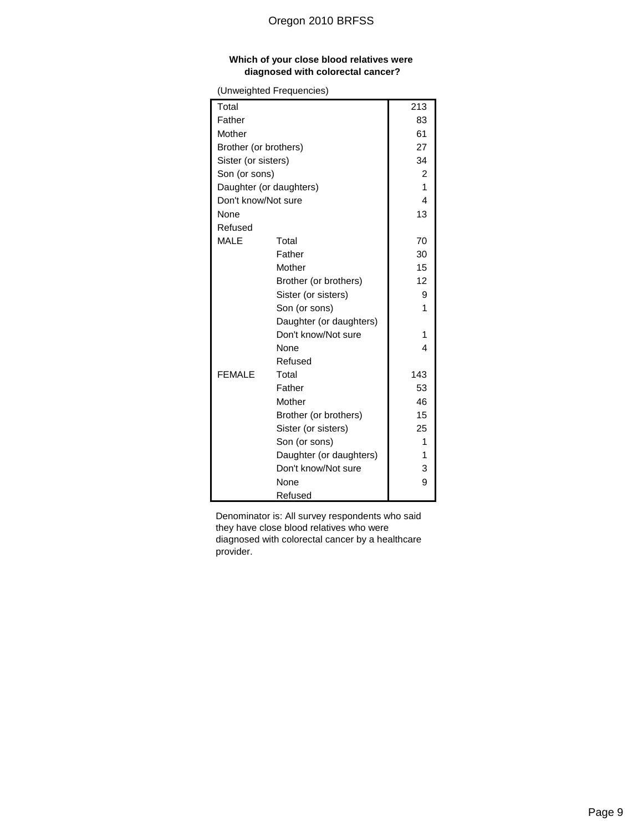### **Which of your close blood relatives were diagnosed with colorectal cancer?**

(Unweighted Frequencies)

| Total                 |                         | 213 |
|-----------------------|-------------------------|-----|
| Father                |                         | 83  |
| Mother                | 61                      |     |
| Brother (or brothers) |                         | 27  |
| Sister (or sisters)   |                         | 34  |
| Son (or sons)         |                         | 2   |
|                       | Daughter (or daughters) | 1   |
| Don't know/Not sure   |                         | 4   |
| None                  |                         | 13  |
| Refused               |                         |     |
| <b>MALE</b>           | Total                   | 70  |
|                       | Father                  | 30  |
|                       | Mother                  | 15  |
|                       | Brother (or brothers)   | 12  |
|                       | Sister (or sisters)     | 9   |
|                       | Son (or sons)           | 1   |
|                       | Daughter (or daughters) |     |
|                       | Don't know/Not sure     | 1   |
|                       | <b>None</b>             | 4   |
|                       | Refused                 |     |
| <b>FEMALE</b>         | Total                   | 143 |
|                       | Father                  | 53  |
|                       | Mother                  | 46  |
|                       | Brother (or brothers)   | 15  |
|                       | Sister (or sisters)     | 25  |
|                       | Son (or sons)           | 1   |
|                       | Daughter (or daughters) | 1   |
|                       | Don't know/Not sure     | 3   |
|                       | None                    | 9   |
|                       | Refused                 |     |

Denominator is: All survey respondents who said they have close blood relatives who were diagnosed with colorectal cancer by a healthcare provider.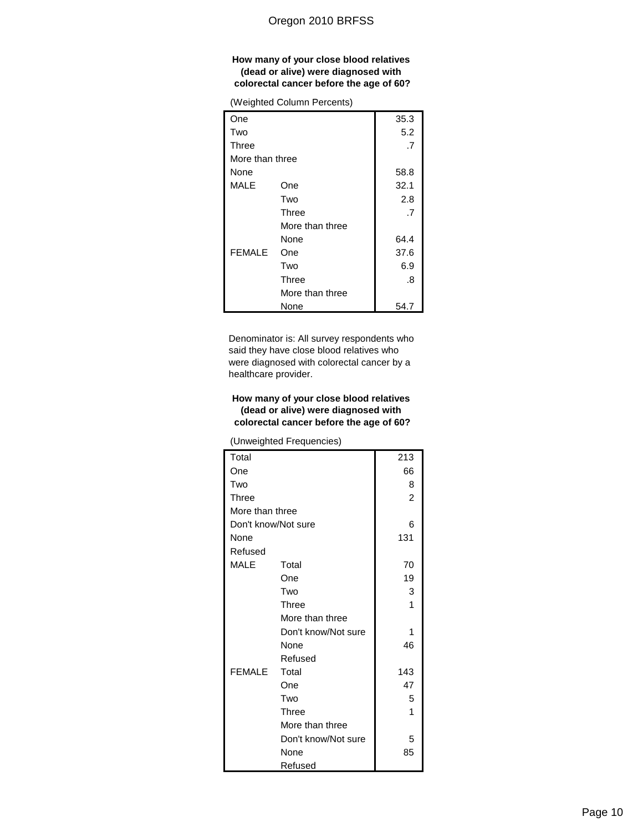#### **How many of your close blood relatives (dead or alive) were diagnosed with colorectal cancer before the age of 60?**

(Weighted Column Percents)

| One             |                 | 35.3 |
|-----------------|-----------------|------|
| Two             |                 | 5.2  |
| Three           |                 | .7   |
| More than three |                 |      |
| None            |                 | 58.8 |
| MALE            | One             | 32.1 |
|                 | Two             | 2.8  |
|                 | Three           | .7   |
|                 | More than three |      |
|                 | None            | 64.4 |
| <b>FEMALE</b>   | One             | 37.6 |
|                 | Two             | 6.9  |
|                 | Three           | .8   |
|                 | More than three |      |
|                 | None            | 54.7 |

Denominator is: All survey respondents who said they have close blood relatives who were diagnosed with colorectal cancer by a healthcare provider.

## **How many of your close blood relatives (dead or alive) were diagnosed with colorectal cancer before the age of 60?**

(Unweighted Frequencies)

| Total               |                     | 213            |
|---------------------|---------------------|----------------|
| One                 |                     | 66             |
| Two                 |                     | 8              |
| <b>Three</b>        |                     | $\overline{2}$ |
| More than three     |                     |                |
| Don't know/Not sure |                     | 6              |
| None                |                     | 131            |
| Refused             |                     |                |
| <b>MALE</b>         | Total               | 70             |
|                     | One                 | 19             |
|                     | Two                 | 3              |
|                     | Three               | 1              |
|                     | More than three     |                |
|                     | Don't know/Not sure | 1              |
|                     | None                | 46             |
|                     | Refused             |                |
| <b>FEMALE</b>       | Total               | 143            |
|                     | One                 | 47             |
|                     | Two                 | 5              |
|                     | Three               | 1              |
|                     | More than three     |                |
|                     | Don't know/Not sure | 5              |
|                     | None                | 85             |
|                     | Refused             |                |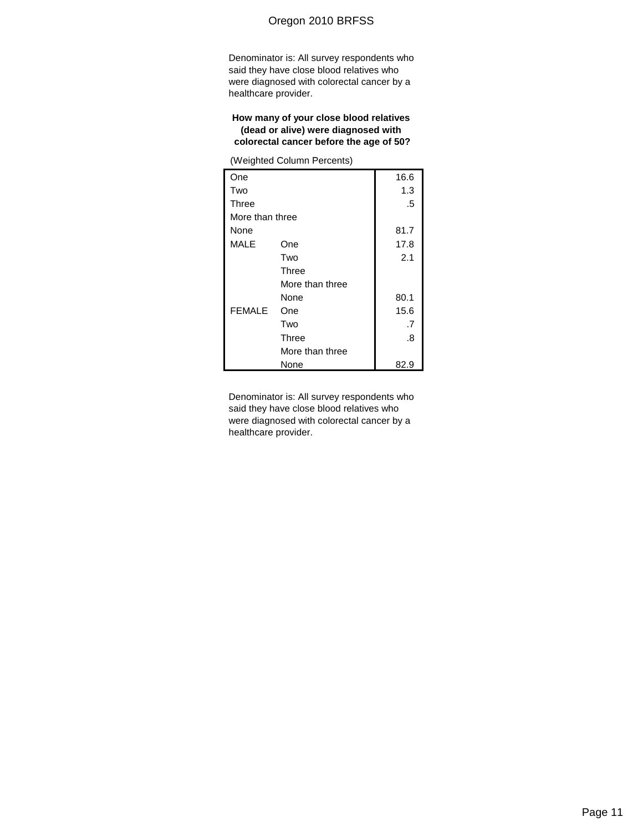Denominator is: All survey respondents who said they have close blood relatives who were diagnosed with colorectal cancer by a healthcare provider.

### **How many of your close blood relatives (dead or alive) were diagnosed with colorectal cancer before the age of 50?**

(Weighted Column Percents)

| One             |                 | 16.6 |
|-----------------|-----------------|------|
| Two             |                 | 1.3  |
| Three           |                 | .5   |
| More than three |                 |      |
| None            |                 | 81.7 |
| <b>MALE</b>     | One             | 17.8 |
|                 | Two             | 2.1  |
|                 | Three           |      |
|                 | More than three |      |
|                 | None            | 80.1 |
| <b>FEMALE</b>   | One             | 15.6 |
|                 | Two             | .7   |
|                 | <b>Three</b>    | .8   |
|                 | More than three |      |
|                 | None            | 82.9 |

Denominator is: All survey respondents who said they have close blood relatives who were diagnosed with colorectal cancer by a healthcare provider.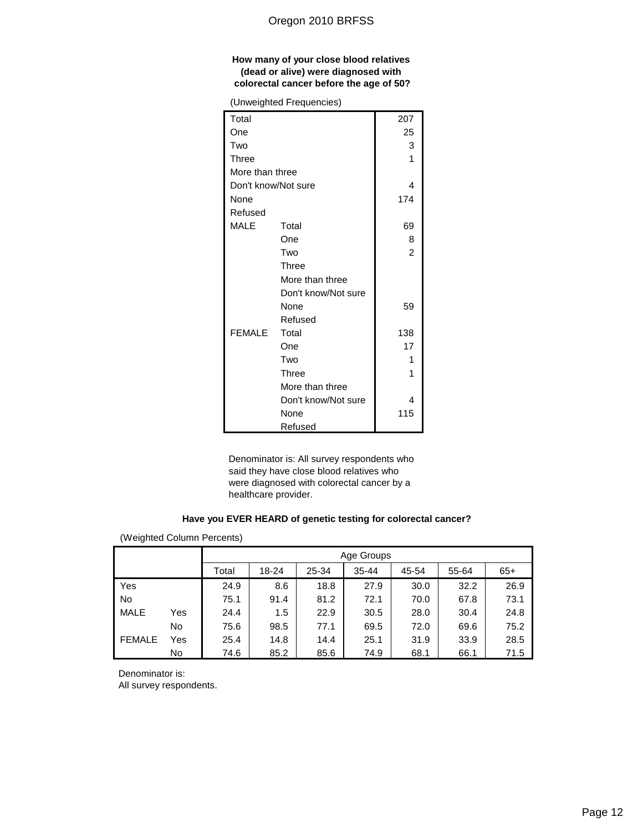### **How many of your close blood relatives (dead or alive) were diagnosed with colorectal cancer before the age of 50?**

(Unweighted Frequencies)

|                     | (Uliweighted Fieddelicies) |                |
|---------------------|----------------------------|----------------|
| Total               |                            | 207            |
| One                 |                            | 25             |
| Two                 |                            | 3              |
| <b>Three</b>        |                            | 1              |
| More than three     |                            |                |
| Don't know/Not sure |                            | 4              |
| None                |                            | 174            |
| Refused             |                            |                |
| MALE                | Total                      | 69             |
|                     | One                        | 8              |
|                     | Two                        | $\overline{2}$ |
|                     | Three                      |                |
|                     | More than three            |                |
|                     | Don't know/Not sure        |                |
|                     | None                       | 59             |
|                     | Refused                    |                |
| <b>FEMALE</b>       | Total                      | 138            |
|                     | One                        | 17             |
|                     | Two                        | 1              |
|                     | Three                      | 1              |
|                     | More than three            |                |
|                     | Don't know/Not sure        | 4              |
|                     | None                       | 115            |
|                     | Refused                    |                |

Denominator is: All survey respondents who said they have close blood relatives who were diagnosed with colorectal cancer by a healthcare provider.

### **Have you EVER HEARD of genetic testing for colorectal cancer?**

(Weighted Column Percents)

|               |     | Age Groups |       |       |           |       |       |       |  |  |
|---------------|-----|------------|-------|-------|-----------|-------|-------|-------|--|--|
|               |     | Total      | 18-24 | 25-34 | $35 - 44$ | 45-54 | 55-64 | $65+$ |  |  |
| Yes           |     | 24.9       | 8.6   | 18.8  | 27.9      | 30.0  | 32.2  | 26.9  |  |  |
| <b>No</b>     |     | 75.1       | 91.4  | 81.2  | 72.1      | 70.0  | 67.8  | 73.1  |  |  |
| <b>MALE</b>   | Yes | 24.4       | 1.5   | 22.9  | 30.5      | 28.0  | 30.4  | 24.8  |  |  |
|               | No  | 75.6       | 98.5  | 77.1  | 69.5      | 72.0  | 69.6  | 75.2  |  |  |
| <b>FEMALE</b> | Yes | 25.4       | 14.8  | 14.4  | 25.1      | 31.9  | 33.9  | 28.5  |  |  |
|               | No  | 74.6       | 85.2  | 85.6  | 74.9      | 68.1  | 66.1  | 71.5  |  |  |

Denominator is: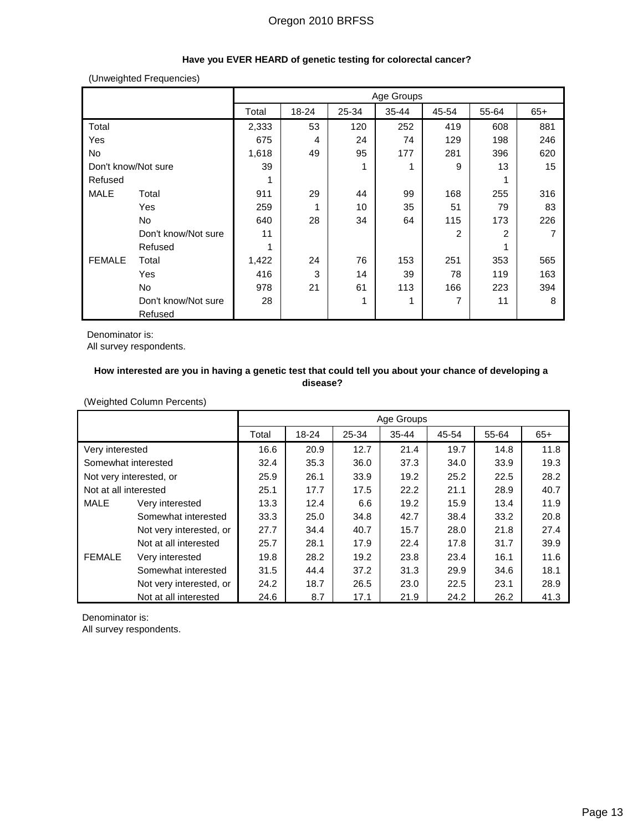## **Have you EVER HEARD of genetic testing for colorectal cancer?**

(Unweighted Frequencies)

|                     |                     |       |       |       | Age Groups |       |       |       |
|---------------------|---------------------|-------|-------|-------|------------|-------|-------|-------|
|                     |                     | Total | 18-24 | 25-34 | 35-44      | 45-54 | 55-64 | $65+$ |
| Total               |                     | 2,333 | 53    | 120   | 252        | 419   | 608   | 881   |
| Yes                 |                     | 675   | 4     | 24    | 74         | 129   | 198   | 246   |
| No                  |                     | 1,618 | 49    | 95    | 177        | 281   | 396   | 620   |
| Don't know/Not sure |                     | 39    |       | 1     |            | 9     | 13    | 15    |
| Refused             |                     |       |       |       |            |       |       |       |
| MALE                | Total               | 911   | 29    | 44    | 99         | 168   | 255   | 316   |
|                     | Yes                 | 259   | 1     | 10    | 35         | 51    | 79    | 83    |
|                     | No.                 | 640   | 28    | 34    | 64         | 115   | 173   | 226   |
|                     | Don't know/Not sure | 11    |       |       |            | 2     | 2     |       |
|                     | Refused             |       |       |       |            |       |       |       |
| <b>FEMALE</b>       | Total               | 1,422 | 24    | 76    | 153        | 251   | 353   | 565   |
|                     | Yes                 | 416   | 3     | 14    | 39         | 78    | 119   | 163   |
|                     | No                  | 978   | 21    | 61    | 113        | 166   | 223   | 394   |
|                     | Don't know/Not sure | 28    |       | 1     | 1          | 7     | 11    | 8     |
|                     | Refused             |       |       |       |            |       |       |       |

Denominator is:

All survey respondents.

### **How interested are you in having a genetic test that could tell you about your chance of developing a disease?**

(Weighted Column Percents)

|                       |                         |       |           |       | Age Groups |       |       |       |
|-----------------------|-------------------------|-------|-----------|-------|------------|-------|-------|-------|
|                       |                         | Total | $18 - 24$ | 25-34 | $35 - 44$  | 45-54 | 55-64 | $65+$ |
| Very interested       |                         | 16.6  | 20.9      | 12.7  | 21.4       | 19.7  | 14.8  | 11.8  |
| Somewhat interested   |                         | 32.4  | 35.3      | 36.0  | 37.3       | 34.0  | 33.9  | 19.3  |
|                       | Not very interested, or | 25.9  | 26.1      | 33.9  | 19.2       | 25.2  | 22.5  | 28.2  |
| Not at all interested |                         | 25.1  | 17.7      | 17.5  | 22.2       | 21.1  | 28.9  | 40.7  |
| MALE                  | Very interested         | 13.3  | 12.4      | 6.6   | 19.2       | 15.9  | 13.4  | 11.9  |
|                       | Somewhat interested     | 33.3  | 25.0      | 34.8  | 42.7       | 38.4  | 33.2  | 20.8  |
|                       | Not very interested, or | 27.7  | 34.4      | 40.7  | 15.7       | 28.0  | 21.8  | 27.4  |
|                       | Not at all interested   | 25.7  | 28.1      | 17.9  | 22.4       | 17.8  | 31.7  | 39.9  |
| <b>FEMALE</b>         | Very interested         | 19.8  | 28.2      | 19.2  | 23.8       | 23.4  | 16.1  | 11.6  |
|                       | Somewhat interested     | 31.5  | 44.4      | 37.2  | 31.3       | 29.9  | 34.6  | 18.1  |
|                       | Not very interested, or | 24.2  | 18.7      | 26.5  | 23.0       | 22.5  | 23.1  | 28.9  |
|                       | Not at all interested   | 24.6  | 8.7       | 17.1  | 21.9       | 24.2  | 26.2  | 41.3  |

Denominator is: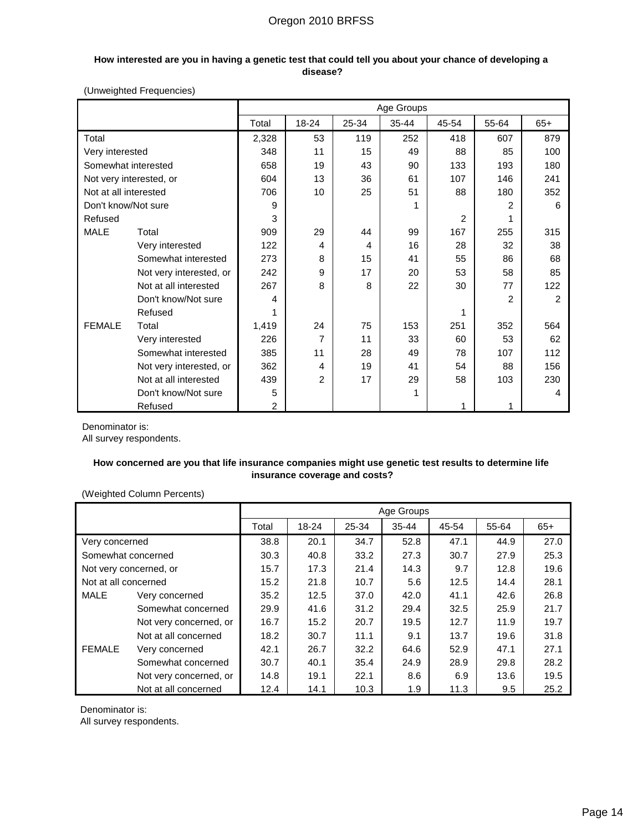### **How interested are you in having a genetic test that could tell you about your chance of developing a disease?**

### (Unweighted Frequencies)

|                       |                         |                |                |       | Age Groups |       |                |                |
|-----------------------|-------------------------|----------------|----------------|-------|------------|-------|----------------|----------------|
|                       |                         | Total          | 18-24          | 25-34 | $35 - 44$  | 45-54 | 55-64          | $65+$          |
| Total                 |                         | 2,328          | 53             | 119   | 252        | 418   | 607            | 879            |
| Very interested       |                         | 348            | 11             | 15    | 49         | 88    | 85             | 100            |
| Somewhat interested   |                         | 658            | 19             | 43    | 90         | 133   | 193            | 180            |
|                       | Not very interested, or | 604            | 13             | 36    | 61         | 107   | 146            | 241            |
| Not at all interested |                         | 706            | 10             | 25    | 51         | 88    | 180            | 352            |
| Don't know/Not sure   |                         | 9              |                |       | 1          |       | $\overline{2}$ | 6              |
| Refused               |                         | 3              |                |       |            | 2     | 1              |                |
| <b>MALE</b>           | Total                   | 909            | 29             | 44    | 99         | 167   | 255            | 315            |
|                       | Very interested         | 122            | 4              | 4     | 16         | 28    | 32             | 38             |
|                       | Somewhat interested     | 273            | 8              | 15    | 41         | 55    | 86             | 68             |
|                       | Not very interested, or | 242            | 9              | 17    | 20         | 53    | 58             | 85             |
|                       | Not at all interested   | 267            | 8              | 8     | 22         | 30    | 77             | 122            |
|                       | Don't know/Not sure     | 4              |                |       |            |       | $\overline{2}$ | $\overline{2}$ |
|                       | Refused                 |                |                |       |            | 1     |                |                |
| <b>FEMALE</b>         | Total                   | 1,419          | 24             | 75    | 153        | 251   | 352            | 564            |
|                       | Very interested         | 226            | 7              | 11    | 33         | 60    | 53             | 62             |
|                       | Somewhat interested     | 385            | 11             | 28    | 49         | 78    | 107            | 112            |
|                       | Not very interested, or | 362            | 4              | 19    | 41         | 54    | 88             | 156            |
|                       | Not at all interested   | 439            | $\overline{2}$ | 17    | 29         | 58    | 103            | 230            |
|                       | Don't know/Not sure     | 5              |                |       | 1          |       |                | 4              |
|                       | Refused                 | $\overline{2}$ |                |       |            | 1     |                |                |

Denominator is:

All survey respondents.

### **How concerned are you that life insurance companies might use genetic test results to determine life insurance coverage and costs?**

### (Weighted Column Percents)

|                      |                        |       |           |       | Age Groups |       |       |       |
|----------------------|------------------------|-------|-----------|-------|------------|-------|-------|-------|
|                      |                        | Total | $18 - 24$ | 25-34 | $35 - 44$  | 45-54 | 55-64 | $65+$ |
| Very concerned       |                        | 38.8  | 20.1      | 34.7  | 52.8       | 47.1  | 44.9  | 27.0  |
| Somewhat concerned   |                        | 30.3  | 40.8      | 33.2  | 27.3       | 30.7  | 27.9  | 25.3  |
|                      | Not very concerned, or | 15.7  | 17.3      | 21.4  | 14.3       | 9.7   | 12.8  | 19.6  |
| Not at all concerned |                        | 15.2  | 21.8      | 10.7  | 5.6        | 12.5  | 14.4  | 28.1  |
| <b>MALE</b>          | Very concerned         | 35.2  | 12.5      | 37.0  | 42.0       | 41.1  | 42.6  | 26.8  |
|                      | Somewhat concerned     | 29.9  | 41.6      | 31.2  | 29.4       | 32.5  | 25.9  | 21.7  |
|                      | Not very concerned, or | 16.7  | 15.2      | 20.7  | 19.5       | 12.7  | 11.9  | 19.7  |
|                      | Not at all concerned   | 18.2  | 30.7      | 11.1  | 9.1        | 13.7  | 19.6  | 31.8  |
| <b>FEMALE</b>        | Very concerned         | 42.1  | 26.7      | 32.2  | 64.6       | 52.9  | 47.1  | 27.1  |
|                      | Somewhat concerned     | 30.7  | 40.1      | 35.4  | 24.9       | 28.9  | 29.8  | 28.2  |
|                      | Not very concerned, or | 14.8  | 19.1      | 22.1  | 8.6        | 6.9   | 13.6  | 19.5  |
|                      | Not at all concerned   | 12.4  | 14.1      | 10.3  | 1.9        | 11.3  | 9.5   | 25.2  |

Denominator is: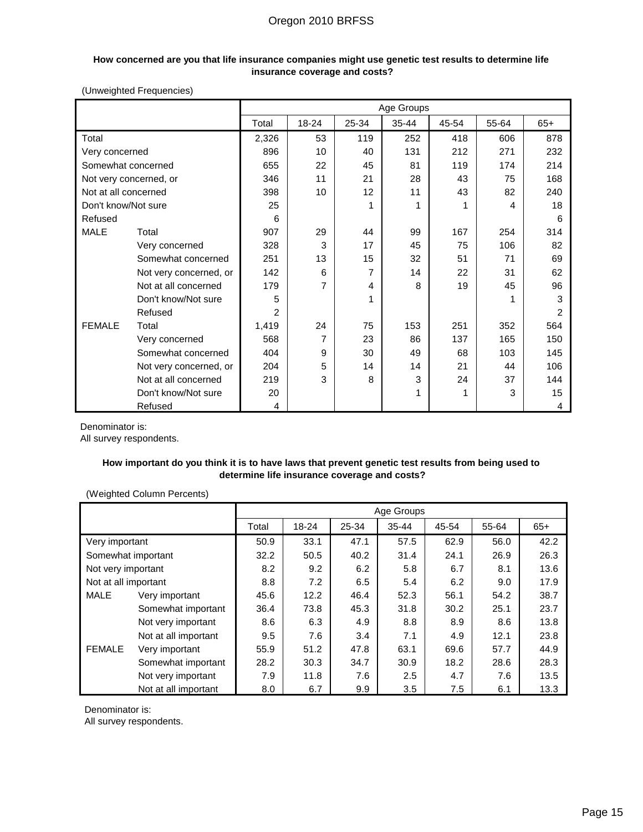#### **How concerned are you that life insurance companies might use genetic test results to determine life insurance coverage and costs?**

(Unweighted Frequencies)

|                      |                        |                |       |       | Age Groups |       |       |       |
|----------------------|------------------------|----------------|-------|-------|------------|-------|-------|-------|
|                      |                        | Total          | 18-24 | 25-34 | 35-44      | 45-54 | 55-64 | $65+$ |
| Total                |                        | 2,326          | 53    | 119   | 252        | 418   | 606   | 878   |
| Very concerned       |                        | 896            | 10    | 40    | 131        | 212   | 271   | 232   |
| Somewhat concerned   |                        | 655            | 22    | 45    | 81         | 119   | 174   | 214   |
|                      | Not very concerned, or | 346            | 11    | 21    | 28         | 43    | 75    | 168   |
| Not at all concerned |                        | 398            | 10    | 12    | 11         | 43    | 82    | 240   |
| Don't know/Not sure  |                        | 25             |       | 1     | 1          |       | 4     | 18    |
| Refused              |                        | 6              |       |       |            |       |       | 6     |
| <b>MALE</b>          | Total                  | 907            | 29    | 44    | 99         | 167   | 254   | 314   |
|                      | Very concerned         | 328            | 3     | 17    | 45         | 75    | 106   | 82    |
|                      | Somewhat concerned     | 251            | 13    | 15    | 32         | 51    | 71    | 69    |
|                      | Not very concerned, or | 142            | 6     | 7     | 14         | 22    | 31    | 62    |
|                      | Not at all concerned   | 179            | 7     | 4     | 8          | 19    | 45    | 96    |
|                      | Don't know/Not sure    | 5              |       | 1     |            |       |       | 3     |
|                      | Refused                | $\overline{2}$ |       |       |            |       |       | 2     |
| <b>FEMALE</b>        | Total                  | 1,419          | 24    | 75    | 153        | 251   | 352   | 564   |
|                      | Very concerned         | 568            | 7     | 23    | 86         | 137   | 165   | 150   |
|                      | Somewhat concerned     | 404            | 9     | 30    | 49         | 68    | 103   | 145   |
|                      | Not very concerned, or | 204            | 5     | 14    | 14         | 21    | 44    | 106   |
|                      | Not at all concerned   | 219            | 3     | 8     | 3          | 24    | 37    | 144   |
|                      | Don't know/Not sure    | 20             |       |       | 1          | 1     | 3     | 15    |
|                      | Refused                | 4              |       |       |            |       |       | 4     |

Denominator is:

All survey respondents.

### **How important do you think it is to have laws that prevent genetic test results from being used to determine life insurance coverage and costs?**

(Weighted Column Percents)

|                      |                      |       |       |       | Age Groups |       |       |       |
|----------------------|----------------------|-------|-------|-------|------------|-------|-------|-------|
|                      |                      | Total | 18-24 | 25-34 | $35 - 44$  | 45-54 | 55-64 | $65+$ |
| Very important       |                      | 50.9  | 33.1  | 47.1  | 57.5       | 62.9  | 56.0  | 42.2  |
| Somewhat important   |                      | 32.2  | 50.5  | 40.2  | 31.4       | 24.1  | 26.9  | 26.3  |
| Not very important   |                      | 8.2   | 9.2   | 6.2   | 5.8        | 6.7   | 8.1   | 13.6  |
| Not at all important |                      | 8.8   | 7.2   | 6.5   | 5.4        | 6.2   | 9.0   | 17.9  |
| <b>MALE</b>          | Very important       | 45.6  | 12.2  | 46.4  | 52.3       | 56.1  | 54.2  | 38.7  |
|                      | Somewhat important   | 36.4  | 73.8  | 45.3  | 31.8       | 30.2  | 25.1  | 23.7  |
|                      | Not very important   | 8.6   | 6.3   | 4.9   | 8.8        | 8.9   | 8.6   | 13.8  |
|                      | Not at all important | 9.5   | 7.6   | 3.4   | 7.1        | 4.9   | 12.1  | 23.8  |
| <b>FEMALE</b>        | Very important       | 55.9  | 51.2  | 47.8  | 63.1       | 69.6  | 57.7  | 44.9  |
|                      | Somewhat important   | 28.2  | 30.3  | 34.7  | 30.9       | 18.2  | 28.6  | 28.3  |
|                      | Not very important   | 7.9   | 11.8  | 7.6   | 2.5        | 4.7   | 7.6   | 13.5  |
|                      | Not at all important | 8.0   | 6.7   | 9.9   | 3.5        | 7.5   | 6.1   | 13.3  |

Denominator is: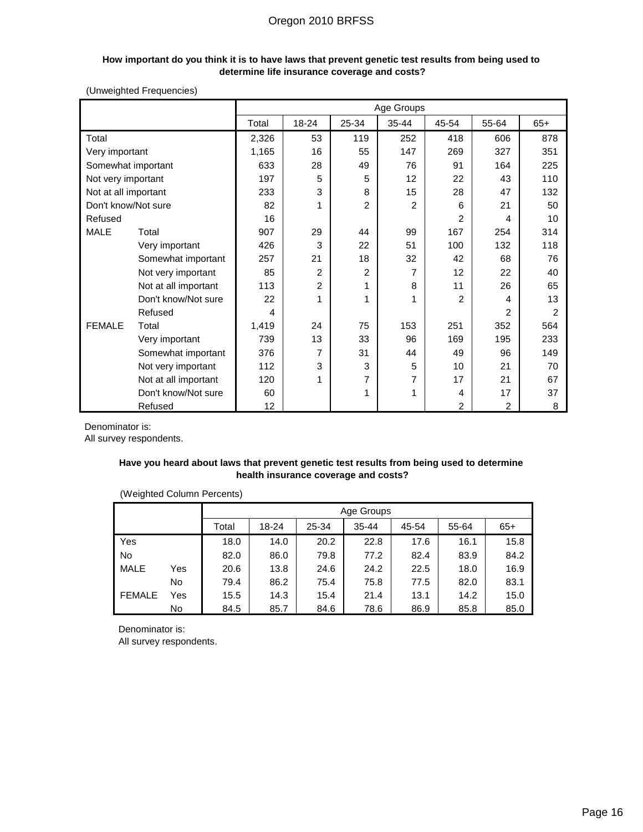#### **How important do you think it is to have laws that prevent genetic test results from being used to determine life insurance coverage and costs?**

### (Unweighted Frequencies)

|                      |                      |       |       |                | Age Groups     |                |       |       |
|----------------------|----------------------|-------|-------|----------------|----------------|----------------|-------|-------|
|                      |                      | Total | 18-24 | 25-34          | 35-44          | 45-54          | 55-64 | $65+$ |
| Total                |                      | 2,326 | 53    | 119            | 252            | 418            | 606   | 878   |
| Very important       |                      | 1,165 | 16    | 55             | 147            | 269            | 327   | 351   |
| Somewhat important   |                      | 633   | 28    | 49             | 76             | 91             | 164   | 225   |
| Not very important   |                      | 197   | 5     | 5              | 12             | 22             | 43    | 110   |
| Not at all important |                      | 233   | 3     | 8              | 15             | 28             | 47    | 132   |
| Don't know/Not sure  |                      | 82    | 1     | $\overline{c}$ | $\overline{c}$ | 6              | 21    | 50    |
| Refused              |                      | 16    |       |                |                | 2              | 4     | 10    |
| <b>MALE</b>          | Total                | 907   | 29    | 44             | 99             | 167            | 254   | 314   |
|                      | Very important       | 426   | 3     | 22             | 51             | 100            | 132   | 118   |
|                      | Somewhat important   | 257   | 21    | 18             | 32             | 42             | 68    | 76    |
|                      | Not very important   | 85    | 2     | $\overline{2}$ | 7              | 12             | 22    | 40    |
|                      | Not at all important | 113   | 2     |                | 8              | 11             | 26    | 65    |
|                      | Don't know/Not sure  | 22    | 1     | 1              | 1              | $\overline{2}$ | 4     | 13    |
|                      | Refused              | 4     |       |                |                |                | 2     | 2     |
| <b>FEMALE</b>        | Total                | 1,419 | 24    | 75             | 153            | 251            | 352   | 564   |
|                      | Very important       | 739   | 13    | 33             | 96             | 169            | 195   | 233   |
|                      | Somewhat important   | 376   | 7     | 31             | 44             | 49             | 96    | 149   |
|                      | Not very important   | 112   | 3     | 3              | 5              | 10             | 21    | 70    |
|                      | Not at all important | 120   | 1     | 7              | 7              | 17             | 21    | 67    |
|                      | Don't know/Not sure  | 60    |       |                | 1              | 4              | 17    | 37    |
|                      | Refused              | 12    |       |                |                | 2              | 2     | 8     |

Denominator is:

All survey respondents.

### **Have you heard about laws that prevent genetic test results from being used to determine health insurance coverage and costs?**

|               | Age Groups |       |       |       |           |       |       |       |
|---------------|------------|-------|-------|-------|-----------|-------|-------|-------|
|               |            | Total | 18-24 | 25-34 | $35 - 44$ | 45-54 | 55-64 | $65+$ |
| Yes           |            | 18.0  | 14.0  | 20.2  | 22.8      | 17.6  | 16.1  | 15.8  |
| No            |            | 82.0  | 86.0  | 79.8  | 77.2      | 82.4  | 83.9  | 84.2  |
| <b>MALE</b>   | Yes        | 20.6  | 13.8  | 24.6  | 24.2      | 22.5  | 18.0  | 16.9  |
|               | No         | 79.4  | 86.2  | 75.4  | 75.8      | 77.5  | 82.0  | 83.1  |
| <b>FEMALE</b> | Yes        | 15.5  | 14.3  | 15.4  | 21.4      | 13.1  | 14.2  | 15.0  |
|               | No         | 84.5  | 85.7  | 84.6  | 78.6      | 86.9  | 85.8  | 85.0  |

### (Weighted Column Percents)

Denominator is: